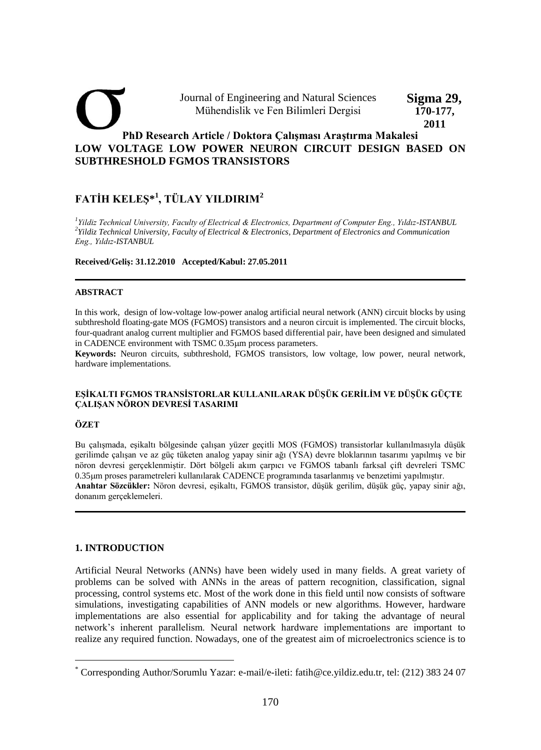#### **PhD Research Article / Doktora Çalışması Araştırma Makalesi LOW VOLTAGE LOW POWER NEURON CIRCUIT DESIGN BASED ON SUBTHRESHOLD FGMOS TRANSISTORS**  Journal of Engineering and Natural Sciences Mühendislik ve Fen Bilimleri Dergisi **Sigma 29, 170-177, 2011**

# **FATİH KELEŞ\* 1 , TÜLAY YILDIRIM<sup>2</sup>**

*1 Yildiz Technical University, Faculty of Electrical & Electronics, Department of Computer Eng., Yıldız-ISTANBUL 2 Yildiz Technical University, Faculty of Electrical & Electronics, Department of Electronics and Communication Eng., Yıldız-ISTANBUL* 

**Received/Geliş: 31.12.2010 Accepted/Kabul: 27.05.2011** 

## **ABSTRACT**

In this work, design of low-voltage low-power analog artificial neural network (ANN) circuit blocks by using subthreshold floating-gate MOS (FGMOS) transistors and a neuron circuit is implemented. The circuit blocks, four-quadrant analog current multiplier and FGMOS based differential pair, have been designed and simulated in CADENCE environment with TSMC  $0.35 \mu m$  process parameters.

**Keywords:** Neuron circuits, subthreshold, FGMOS transistors, low voltage, low power, neural network, hardware implementations.

## **EŞİKALTI FGMOS TRANSİSTORLAR KULLANILARAK DÜŞÜK GERİLİM VE DÜŞÜK GÜÇTE ÇALIŞAN NÖRON DEVRESİ TASARIMI**

## **ÖZET**

Bu çalışmada, eşikaltı bölgesinde çalışan yüzer geçitli MOS (FGMOS) transistorlar kullanılmasıyla düşük gerilimde çalışan ve az güç tüketen analog yapay sinir ağı (YSA) devre bloklarının tasarımı yapılmış ve bir nöron devresi gerçeklenmiştir. Dört bölgeli akım çarpıcı ve FGMOS tabanlı farksal çift devreleri TSMC 0.35m proses parametreleri kullanılarak CADENCE programında tasarlanmış ve benzetimi yapılmıştır. **Anahtar Sözcükler:** Nöron devresi, eşikaltı, FGMOS transistor, düşük gerilim, düşük güç, yapay sinir ağı, donanım gerçeklemeleri.

## **1. INTRODUCTION**

Artificial Neural Networks (ANNs) have been widely used in many fields. A great variety of problems can be solved with ANNs in the areas of pattern recognition, classification, signal processing, control systems etc. Most of the work done in this field until now consists of software simulations, investigating capabilities of ANN models or new algorithms. However, hardware implementations are also essential for applicability and for taking the advantage of neural network"s inherent parallelism. Neural network hardware implementations are important to realize any required function. Nowadays, one of the greatest aim of microelectronics science is to

<sup>\*</sup> Corresponding Author/Sorumlu Yazar: e-mail/e-ileti: fatih@ce.yildiz.edu.tr, tel: (212) 383 24 07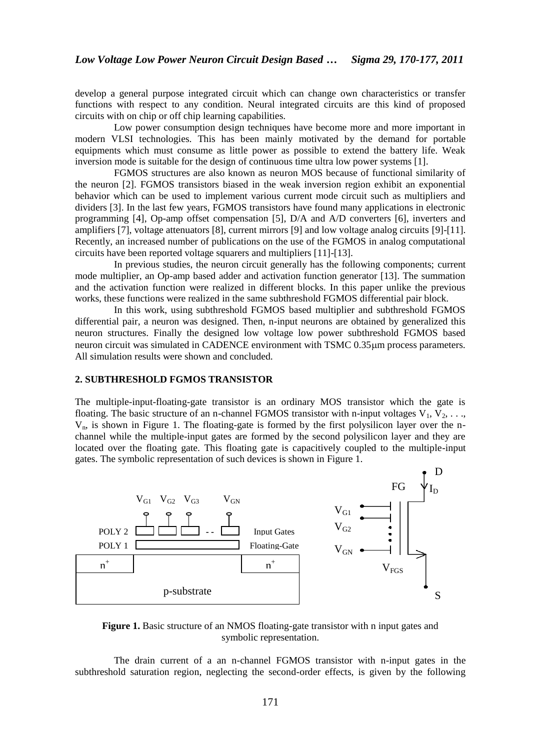develop a general purpose integrated circuit which can change own characteristics or transfer functions with respect to any condition. Neural integrated circuits are this kind of proposed circuits with on chip or off chip learning capabilities.

Low power consumption design techniques have become more and more important in modern VLSI technologies. This has been mainly motivated by the demand for portable equipments which must consume as little power as possible to extend the battery life. Weak inversion mode is suitable for the design of continuous time ultra low power systems [1].

FGMOS structures are also known as neuron MOS because of functional similarity of the neuron [2]. FGMOS transistors biased in the weak inversion region exhibit an exponential behavior which can be used to implement various current mode circuit such as multipliers and dividers [3]. In the last few years, FGMOS transistors have found many applications in electronic programming [4], Op-amp offset compensation [5], D/A and A/D converters [6], inverters and amplifiers [7], voltage attenuators [8], current mirrors [9] and low voltage analog circuits [9]-[11]. Recently, an increased number of publications on the use of the FGMOS in analog computational circuits have been reported voltage squarers and multipliers [11]-[13].

In previous studies, the neuron circuit generally has the following components; current mode multiplier, an Op-amp based adder and activation function generator [13]. The summation and the activation function were realized in different blocks. In this paper unlike the previous works, these functions were realized in the same subthreshold FGMOS differential pair block.

In this work, using subthreshold FGMOS based multiplier and subthreshold FGMOS differential pair, a neuron was designed. Then, n-input neurons are obtained by generalized this neuron structures. Finally the designed low voltage low power subthreshold FGMOS based neuron circuit was simulated in CADENCE environment with TSMC 0.35 $\mu$ m process parameters. All simulation results were shown and concluded.

## **2. SUBTHRESHOLD FGMOS TRANSISTOR**

The multiple-input-floating-gate transistor is an ordinary MOS transistor which the gate is floating. The basic structure of an n-channel FGMOS transistor with n-input voltages  $V_1, V_2, \ldots$ V<sub>n</sub>, is shown in Figure 1. The floating-gate is formed by the first polysilicon layer over the nchannel while the multiple-input gates are formed by the second polysilicon layer and they are located over the floating gate. This floating gate is capacitively coupled to the multiple-input gates. The symbolic representation of such devices is shown in Figure 1.



**Figure 1.** Basic structure of an NMOS floating-gate transistor with n input gates and symbolic representation.

The drain current of a an n-channel FGMOS transistor with n-input gates in the subthreshold saturation region, neglecting the second-order effects, is given by the following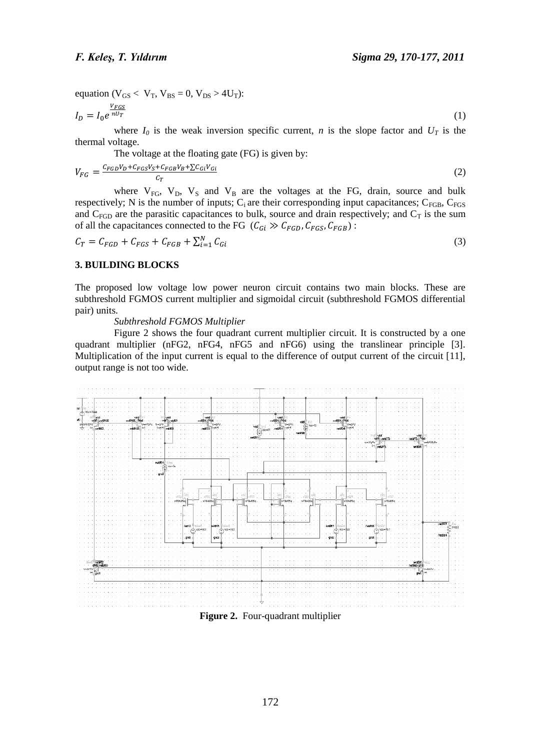equation ( $V_{GS}$  <  $V_T$ ,  $V_{BS}$  = 0,  $V_{DS}$  > 4U<sub>T</sub>):

$$
I_D = I_0 e^{\frac{V_{FGS}}{nU_T}}
$$
 (1)

where  $I_0$  is the weak inversion specific current, *n* is the slope factor and  $U_T$  is the thermal voltage.

The voltage at the floating gate (FG) is given by:

$$
V_{FG} = \frac{c_{FGD}V_D + c_{FGS}V_S + c_{FGB}V_B + \sum c_{Gi}V_{Gi}}{c_T} \tag{2}
$$

where  $V_{FG}$ ,  $V_D$ ,  $V_S$  and  $V_B$  are the voltages at the FG, drain, source and bulk respectively; N is the number of inputs;  $C_i$  are their corresponding input capacitances;  $C_{FGB}$ ,  $C_{FGB}$ and  $C_{FGD}$  are the parasitic capacitances to bulk, source and drain respectively; and  $C_T$  is the sum of all the capacitances connected to the FG  $(C_{Gi} \gg C_{FGD}, C_{FGS}, C_{FGB})$ :

$$
C_T = C_{FGD} + C_{FGS} + C_{FGB} + \sum_{i=1}^{N} C_{Gi}
$$
\n
$$
(3)
$$

## **3. BUILDING BLOCKS**

The proposed low voltage low power neuron circuit contains two main blocks. These are subthreshold FGMOS current multiplier and sigmoidal circuit (subthreshold FGMOS differential pair) units.

## *Subthreshold FGMOS Multiplier*

Figure 2 shows the four quadrant current multiplier circuit. It is constructed by a one quadrant multiplier (nFG2, nFG4, nFG5 and nFG6) using the translinear principle [3]. Multiplication of the input current is equal to the difference of output current of the circuit [11], output range is not too wide.



**Figure 2.** Four-quadrant multiplier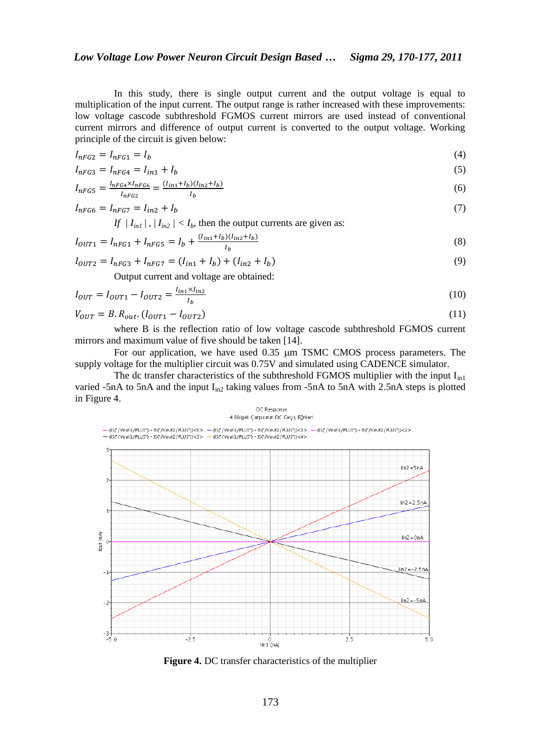In this study, there is single output current and the output voltage is equal to multiplication of the input current. The output range is rather increased with these improvements: low voltage cascode subthreshold FGMOS current mirrors are used instead of conventional current mirrors and difference of output current is converted to the output voltage. Working principle of the circuit is given below:

$$
I_{nFG2} = I_{nFG1} = I_b \tag{4}
$$

$$
I_{nFG3} = I_{nFG4} = I_{in1} + I_b
$$
\n<sup>(5)</sup>

$$
I_{nFG5} = \frac{I_{nFG4} \times I_{nFG6}}{I_{nFG2}} = \frac{(I_{in1} + I_b)(I_{in2} + I_b)}{I_b}
$$
(6)

$$
I_{nFG6} = I_{nFG7} = I_{in2} + I_b
$$
\n(7)

If  $|I_{in1}|$ ,  $|I_{in2}| < I_b$ , then the output currents are given as:

$$
I_{OUT1} = I_{nFG1} + I_{nFG5} = I_b + \frac{(I_{in1} + I_b)(I_{in2} + I_b)}{I_b}
$$
\n(8)

$$
I_{OUT2} = I_{nFG3} + I_{nFG7} = (I_{in1} + I_b) + (I_{in2} + I_b)
$$
\n(9)

Output current and voltage are obtained:

$$
I_{OUT} = I_{OUT1} - I_{OUT2} = \frac{I_{in1} \times I_{in2}}{I_b}
$$
\n(10)

$$
V_{OUT} = B. R_{out}. (I_{OUT1} - I_{OUT2}) \tag{11}
$$

where B is the reflection ratio of low voltage cascode subthreshold FGMOS current mirrors and maximum value of five should be taken [14].

For our application, we have used  $0.35 \mu m$  TSMC CMOS process parameters. The supply voltage for the multiplier circuit was 0.75V and simulated using CADENCE simulator.

The dc transfer characteristics of the subthreshold FGMOS multiplier with the input  $I_{in1}$ varied -5nA to 5nA and the input  $I_{in2}$  taking values from -5nA to 5nA with 2.5nA steps is plotted in Figure 4.

#### DC Response 4 Bölgeli Çarpıcının DC Geçiş Eğrileri



**Figure 4.** DC transfer characteristics of the multiplier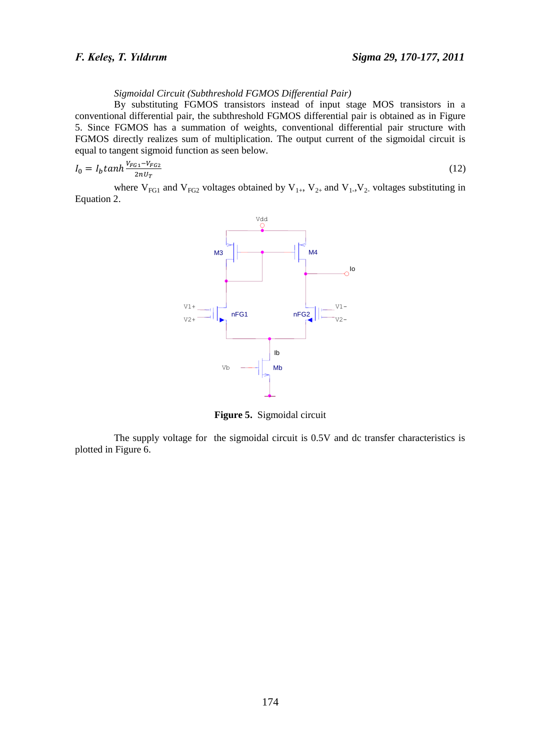## *Sigmoidal Circuit (Subthreshold FGMOS Differential Pair)*

By substituting FGMOS transistors instead of input stage MOS transistors in a conventional differential pair, the subthreshold FGMOS differential pair is obtained as in Figure 5. Since FGMOS has a summation of weights, conventional differential pair structure with FGMOS directly realizes sum of multiplication. The output current of the sigmoidal circuit is equal to tangent sigmoid function as seen below.

$$
I_0 = I_b \tanh \frac{V_{FG1} - V_{FG2}}{2nU_T} \tag{12}
$$

where  $V_{FG1}$  and  $V_{FG2}$  voltages obtained by  $V_{1+}$ ,  $V_{2+}$  and  $V_{1-}$ ,  $V_{2-}$  voltages substituting in Equation 2.



**Figure 5.** Sigmoidal circuit

The supply voltage for the sigmoidal circuit is 0.5V and dc transfer characteristics is plotted in Figure 6.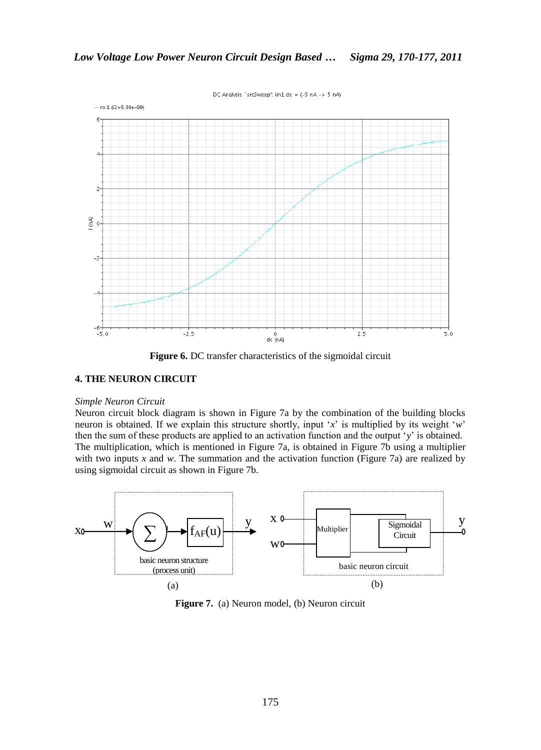DC Analysis `srcSweep': iin1:dc = (-5 nA -> 5 nA)



**Figure 6.** DC transfer characteristics of the sigmoidal circuit

## **4. THE NEURON CIRCUIT**

#### *Simple Neuron Circuit*

Neuron circuit block diagram is shown in Figure 7a by the combination of the building blocks neuron is obtained. If we explain this structure shortly, input 'x' is multiplied by its weight 'w' then the sum of these products are applied to an activation function and the output "*y*" is obtained. The multiplication, which is mentioned in Figure 7a, is obtained in Figure 7b using a multiplier with two inputs *x* and *w*. The summation and the activation function (Figure 7a) are realized by using sigmoidal circuit as shown in Figure 7b.



**Figure 7.** (a) Neuron model, (b) Neuron circuit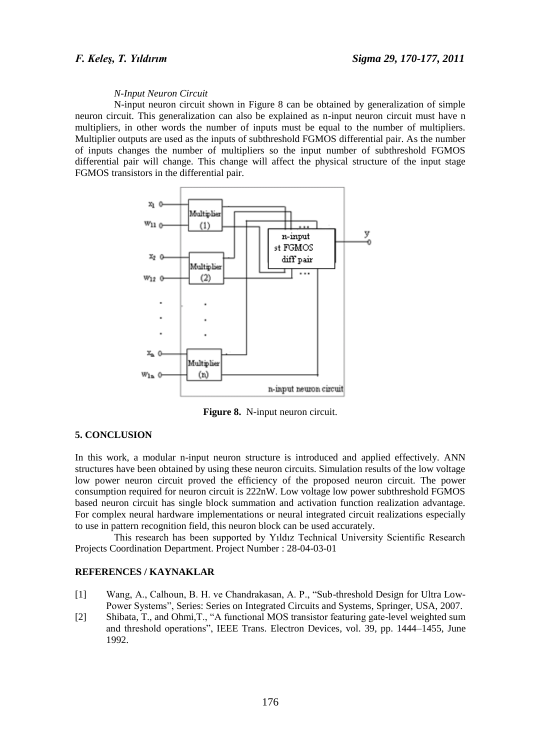### *N-Input Neuron Circuit*

N-input neuron circuit shown in Figure 8 can be obtained by generalization of simple neuron circuit. This generalization can also be explained as n-input neuron circuit must have n multipliers, in other words the number of inputs must be equal to the number of multipliers. Multiplier outputs are used as the inputs of subthreshold FGMOS differential pair. As the number of inputs changes the number of multipliers so the input number of subthreshold FGMOS differential pair will change. This change will affect the physical structure of the input stage FGMOS transistors in the differential pair.



**Figure 8.** N-input neuron circuit.

## **5. CONCLUSION**

In this work, a modular n-input neuron structure is introduced and applied effectively. ANN structures have been obtained by using these neuron circuits. Simulation results of the low voltage low power neuron circuit proved the efficiency of the proposed neuron circuit. The power consumption required for neuron circuit is 222nW. Low voltage low power subthreshold FGMOS based neuron circuit has single block summation and activation function realization advantage. For complex neural hardware implementations or neural integrated circuit realizations especially to use in pattern recognition field, this neuron block can be used accurately.

This research has been supported by Yıldız Technical University Scientific Research Projects Coordination Department. Project Number : 28-04-03-01

## **REFERENCES / KAYNAKLAR**

- [1] Wang, A., Calhoun, B. H. ve Chandrakasan, A. P., "Sub-threshold Design for Ultra Low-Power Systems", Series: Series on Integrated Circuits and Systems, Springer, USA, 2007.
- [2] Shibata, T., and Ohmi,T., "A functional MOS transistor featuring gate-level weighted sum and threshold operations", IEEE Trans. Electron Devices, vol. 39, pp. 1444–1455, June 1992.